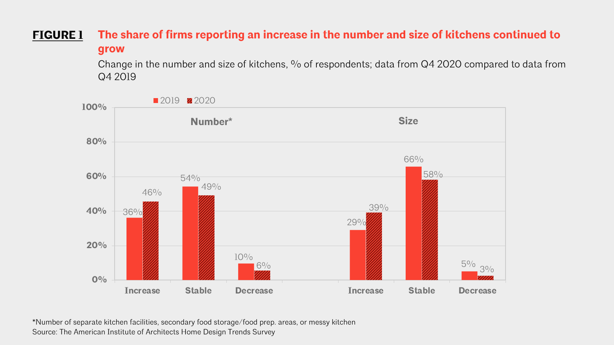## **The share of firms reporting an increase in the number and size of kitchens continued to grow FIGURE 1**

Change in the number and size of kitchens, % of respondents; data from Q4 2020 compared to data from Q4 2019



\*Number of separate kitchen facilities, secondary food storage/food prep. areas, or messy kitchen Source: The American Institute of Architects Home Design Trends Survey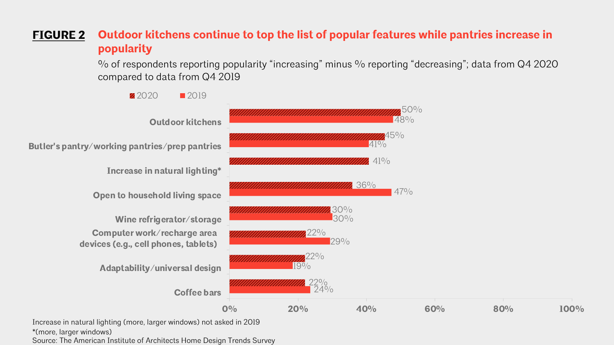## **Outdoor kitchens continue to top the list of popular features while pantries increase in popularity FIGURE 2**

% of respondents reporting popularity "increasing" minus % reporting "decreasing"; data from Q4 2020 compared to data from Q4 2019



\*(more, larger windows)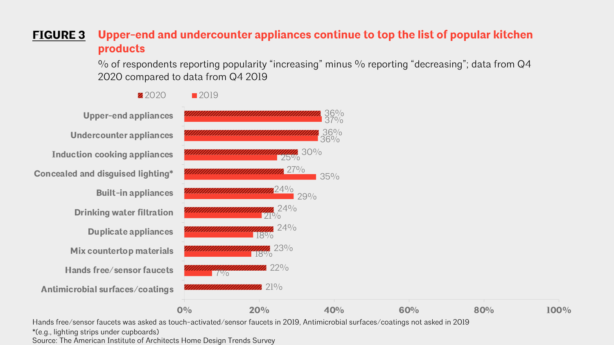### **Upper-end and undercounter appliances continue to top the list of popular kitchen products FIGURE 3**

 $\%$  of respondents reporting popularity "increasing" minus  $\%$  reporting "decreasing"; data from Q4 2020 compared to data from Q4 2019



Hands free/sensor faucets was asked as touch-activated/sensor faucets in 2019, Antimicrobial surfaces/coatings not asked in 2019

\*(e.g., lighting strips under cupboards)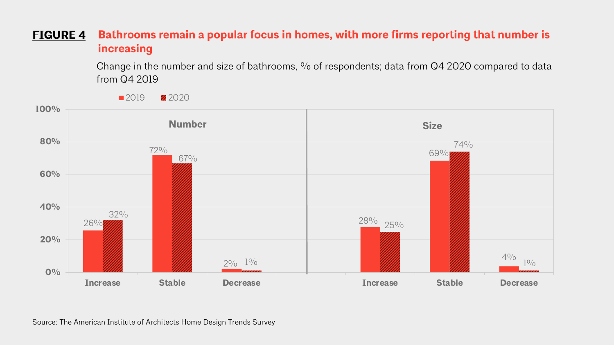### **Bathrooms remain a popular focus in homes, with more firms reporting that number is increasing FIGURE 4**

Change in the number and size of bathrooms, % of respondents; data from Q4 2020 compared to data from Q4 2019

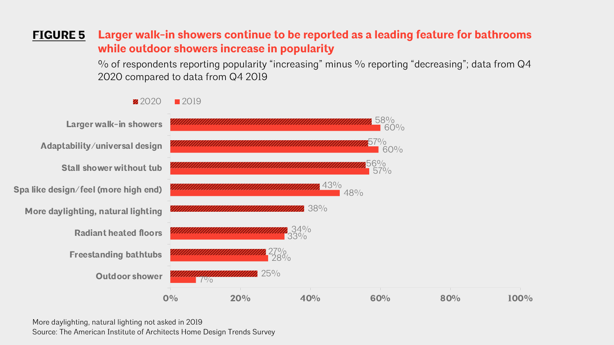#### **Larger walk-in showers continue to be reported as a leading feature for bathrooms while outdoor showers increase in popularity FIGURE 5**

 $\%$  of respondents reporting popularity "increasing" minus  $\%$  reporting "decreasing"; data from Q4 2020 compared to data from Q4 2019



More daylighting, natural lighting not asked in 2019 Source: The American Institute of Architects Home Design Trends Survey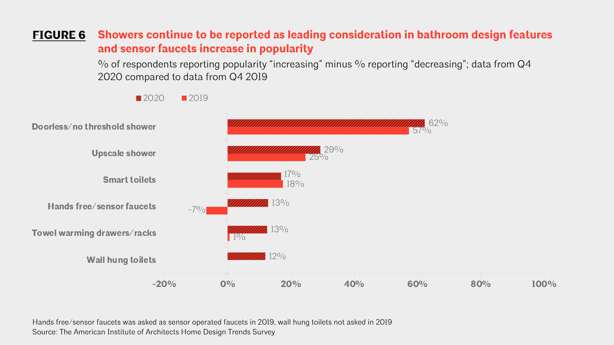#### **Showers continue to be reported as leading consideration in bathroom design features and sensor faucets increase in popularity FIGURE 6**

% of respondents reporting popularity "increasing" minus % reporting "decreasing"; data from Q4 2020 compared to data from Q4 2019

 $10/0$  $-7\%$ 18%  $25\%$  $57\%$  $12\%$ 13% 13%  $7\%$ 29% 62% **-20% 0% 20% 40% 60% 80% 100% Wall hung toilets Towel warming drawers/racks Hands free/sensor faucets Smart toilets Upscale shower Doorless/no threshold shower**

Hands free/sensor faucets was asked as sensor operated faucets in 2019, wall hung toilets not asked in 2019 Source: The American Institute of Architects Home Design Trends Survey

 $2020$  2019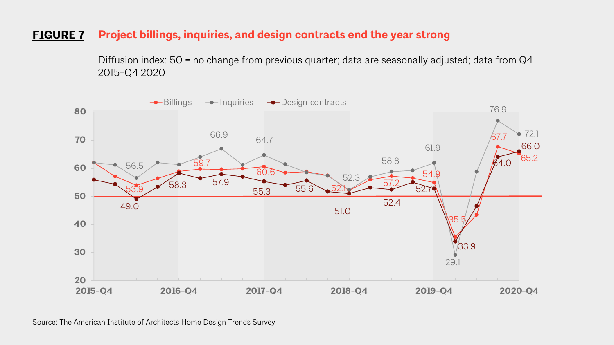## **FIGURE 7 Project billings, inquiries, and design contracts end the year strong**

Diffusion index: 50 = no change from previous quarter; data are seasonally adjusted; data from Q4 2015-Q4 2020

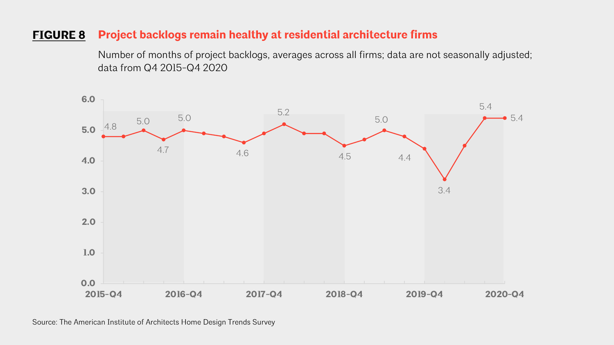## **FIGURE 8 Project backlogs remain healthy at residential architecture firms**

Number of months of project backlogs, averages across all firms; data are not seasonally adjusted; data from Q4 2015-Q4 2020

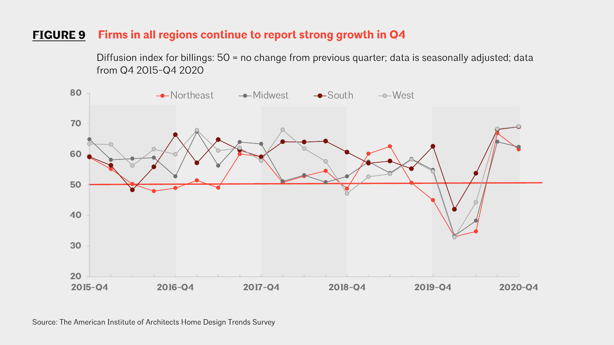## **FIGURE 9 Firms in all regions continue to report strong growth in Q4**

Diffusion index for billings: 50 = no change from previous quarter; data is seasonally adjusted; data from Q4 2015-Q4 2020

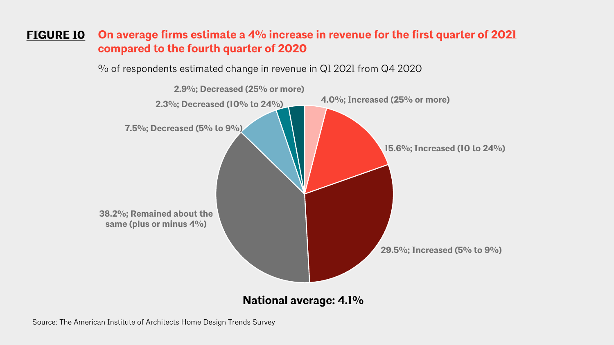#### **On average firms estimate a 4% increase in revenue for the first quarter of 2021 compared to the fourth quarter of 2020 FIGURE 10**

% of respondents estimated change in revenue in Q1 2021 from Q4 2020

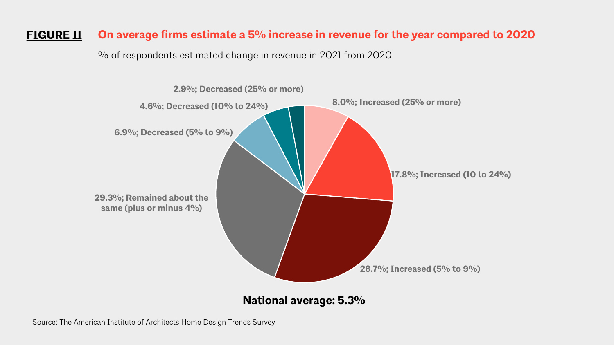# **FIGURE 11 On average firms estimate a 5% increase in revenue for the year compared to 2020**

% of respondents estimated change in revenue in 2021 from 2020